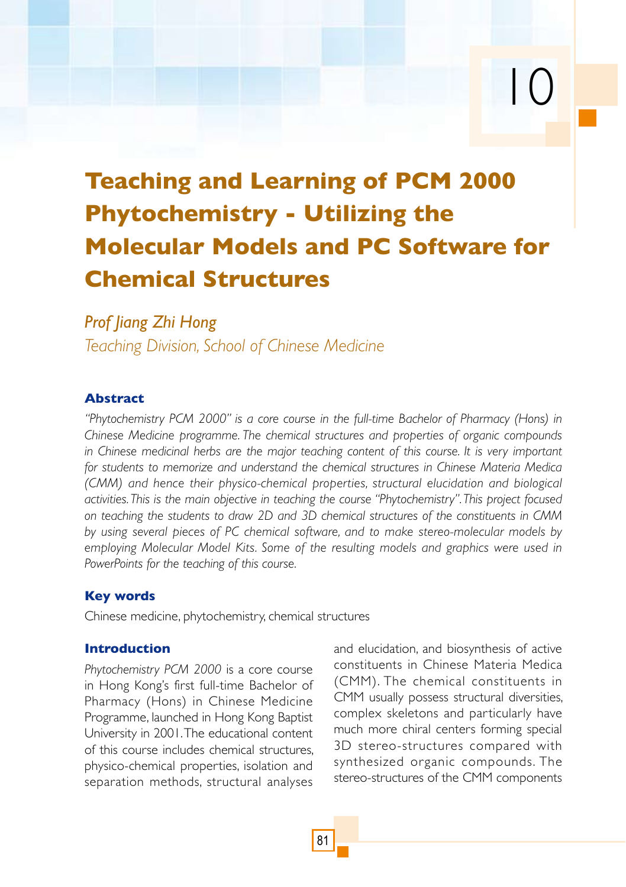# **Teaching and Learning of PCM 2000 Phytochemistry - Utilizing the Molecular Models and PC Software for Chemical Structures**

# *Prof Jiang Zhi Hong*

*Teaching Division, School of Chinese Medicine*

# **Abstract**

*"Phytochemistry PCM 2000" is a core course in the full-time Bachelor of Pharmacy (Hons) in Chinese Medicine programme. The chemical structures and properties of organic compounds in Chinese medicinal herbs are the major teaching content of this course. It is very important for students to memorize and understand the chemical structures in Chinese Materia Medica (CMM) and hence their physico-chemical properties, structural elucidation and biological activities. This is the main objective in teaching the course "Phytochemistry". This project focused on teaching the students to draw 2D and 3D chemical structures of the constituents in CMM by using several pieces of PC chemical software, and to make stereo-molecular models by employing Molecular Model Kits. Some of the resulting models and graphics were used in PowerPoints for the teaching of this course.*

# **Key words**

Chinese medicine, phytochemistry, chemical structures

# **Introduction**

*Phytochemistry PCM 2000* is a core course in Hong Kong's first full-time Bachelor of Pharmacy (Hons) in Chinese Medicine Programme, launched in Hong Kong Baptist University in 2001. The educational content of this course includes chemical structures, physico-chemical properties, isolation and separation methods, structural analyses and elucidation, and biosynthesis of active constituents in Chinese Materia Medica (CMM). The chemical constituents in CMM usually possess structural diversities, complex skeletons and particularly have much more chiral centers forming special 3D stereo-structures compared with synthesized organic compounds. The stereo-structures of the CMM components

10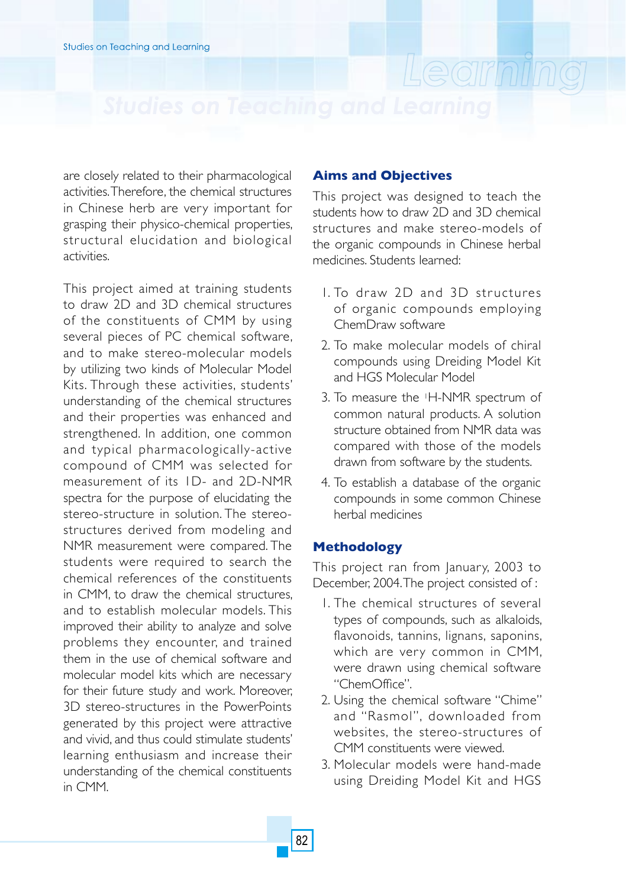are closely related to their pharmacological activities. Therefore, the chemical structures in Chinese herb are very important for grasping their physico-chemical properties, structural elucidation and biological activities.

This project aimed at training students to draw 2D and 3D chemical structures of the constituents of CMM by using several pieces of PC chemical software, and to make stereo-molecular models by utilizing two kinds of Molecular Model Kits. Through these activities, students' understanding of the chemical structures and their properties was enhanced and strengthened. In addition, one common and typical pharmacologically-active compound of CMM was selected for measurement of its 1D- and 2D-NMR spectra for the purpose of elucidating the stereo-structure in solution. The stereostructures derived from modeling and NMR measurement were compared. The students were required to search the chemical references of the constituents in CMM, to draw the chemical structures and to establish molecular models. This improved their ability to analyze and solve problems they encounter, and trained them in the use of chemical software and molecular model kits which are necessary for their future study and work. Moreover, 3D stereo-structures in the PowerPoints generated by this project were attractive and vivid, and thus could stimulate students' learning enthusiasm and increase their understanding of the chemical constituents in CMM.

## **Aims and Objectives**

This project was designed to teach the students how to draw 2D and 3D chemical structures and make stereo-models of the organic compounds in Chinese herbal medicines. Students learned:

Learning

- 1. To draw 2D and 3D structures of organic compounds employing ChemDraw software
- 2. To make molecular models of chiral compounds using Dreiding Model Kit and HGS Molecular Model
- 3. To measure the 1H-NMR spectrum of common natural products. A solution structure obtained from NMR data was compared with those of the models drawn from software by the students.
- 4. To establish a database of the organic compounds in some common Chinese herbal medicines

### **Methodology**

This project ran from January, 2003 to December, 2004. The project consisted of :

- 1. The chemical structures of several types of compounds, such as alkaloids, flavonoids, tannins, lignans, saponins, which are very common in CMM, were drawn using chemical software "ChemOffice".
- 2. Using the chemical software "Chime" and "Rasmol", downloaded from websites, the stereo-structures of CMM constituents were viewed.
- 3. Molecular models were hand-made using Dreiding Model Kit and HGS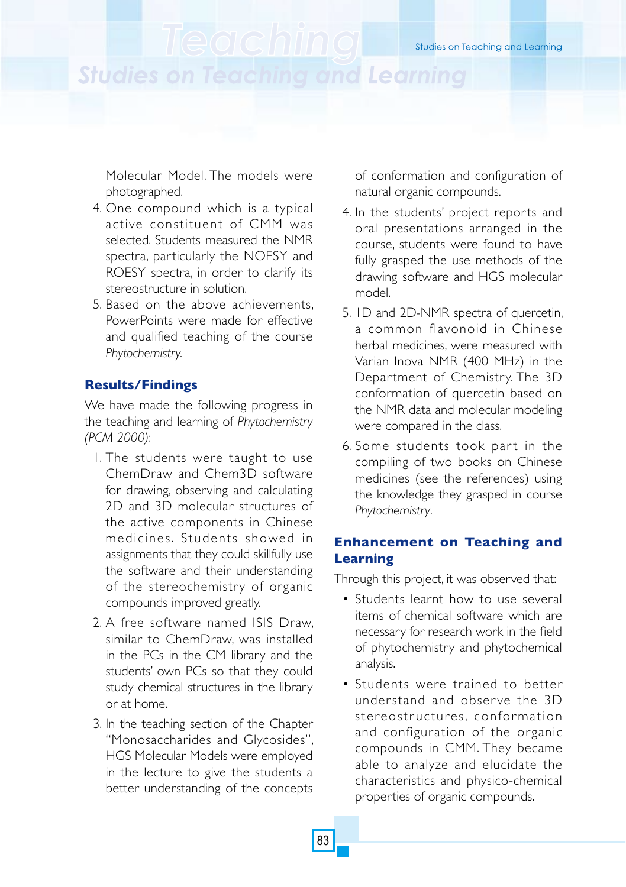# **Studies on Teaching and Learning**

Molecular Model. The models were photographed.

- 4. One compound which is a typical active constituent of CMM was selected. Students measured the NMR spectra, particularly the NOESY and ROESY spectra, in order to clarify its stereostructure in solution.
- 5. Based on the above achievements, PowerPoints were made for effective and qualified teaching of the course *Phytochemistry.*

# **Results/Findings**

We have made the following progress in the teaching and learning of *Phytochemistry (PCM 2000)*:

- 1. The students were taught to use ChemDraw and Chem3D software for drawing, observing and calculating 2D and 3D molecular structures of the active components in Chinese medicines. Students showed in assignments that they could skillfully use the software and their understanding of the stereochemistry of organic compounds improved greatly.
- 2. A free software named ISIS Draw, similar to ChemDraw, was installed in the PCs in the CM library and the students' own PCs so that they could study chemical structures in the library or at home.
- 3. In the teaching section of the Chapter "Monosaccharides and Glycosides", HGS Molecular Models were employed in the lecture to give the students a better understanding of the concepts

of conformation and configuration of natural organic compounds.

- 4. In the students' project reports and oral presentations arranged in the course, students were found to have fully grasped the use methods of the drawing software and HGS molecular model.
- 5. 1D and 2D-NMR spectra of quercetin, a common flavonoid in Chinese herbal medicines, were measured with Varian Inova NMR (400 MHz) in the Department of Chemistry. The 3D conformation of quercetin based on the NMR data and molecular modeling were compared in the class.
- 6. Some students took part in the compiling of two books on Chinese medicines (see the references) using the knowledge they grasped in course *Phytochemistry*.

# **Enhancement on Teaching and Learning**

Through this project, it was observed that:

- Students learnt how to use several items of chemical software which are necessary for research work in the field of phytochemistry and phytochemical analysis.
- Students were trained to better understand and obser ve the 3D stereostructures, conformation and configuration of the organic compounds in CMM. They became able to analyze and elucidate the characteristics and physico-chemical properties of organic compounds.